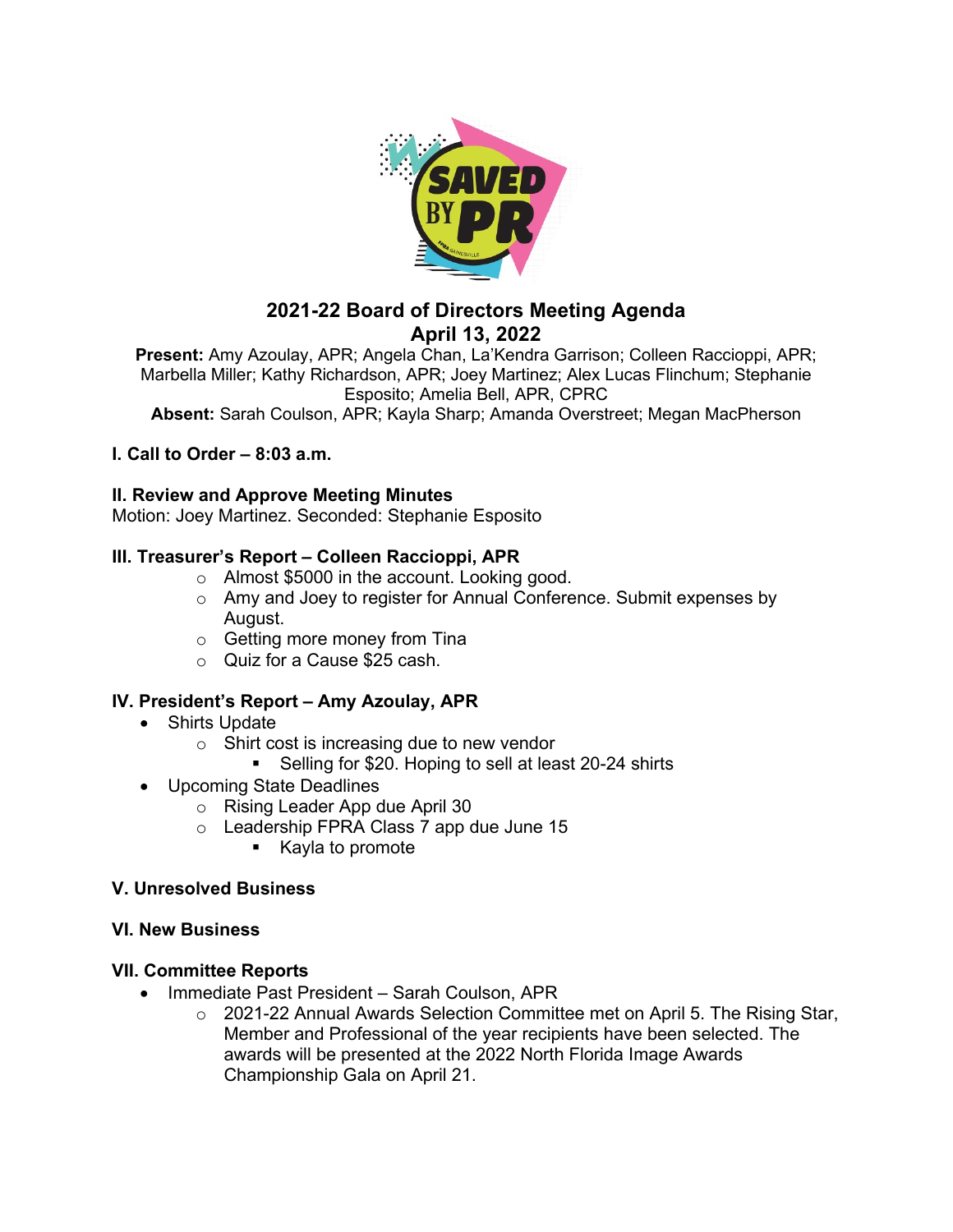

# **2021-22 Board of Directors Meeting Agenda April 13, 2022**

**Present:** Amy Azoulay, APR; Angela Chan, La'Kendra Garrison; Colleen Raccioppi, APR; Marbella Miller; Kathy Richardson, APR; Joey Martinez; Alex Lucas Flinchum; Stephanie Esposito; Amelia Bell, APR, CPRC

**Absent:** Sarah Coulson, APR; Kayla Sharp; Amanda Overstreet; Megan MacPherson

# **I. Call to Order – 8:03 a.m.**

## **II. Review and Approve Meeting Minutes**

Motion: Joey Martinez. Seconded: Stephanie Esposito

## **III. Treasurer's Report – Colleen Raccioppi, APR**

- o Almost \$5000 in the account. Looking good.
- o Amy and Joey to register for Annual Conference. Submit expenses by August.
- o Getting more money from Tina
- o Quiz for a Cause \$25 cash.

# **IV. President's Report – Amy Azoulay, APR**

- Shirts Update
	- $\circ$  Shirt cost is increasing due to new vendor
		- Selling for \$20. Hoping to sell at least 20-24 shirts
- Upcoming State Deadlines
	- o Rising Leader App due April 30
	- o Leadership FPRA Class 7 app due June 15
		- Kayla to promote

#### **V. Unresolved Business**

# **VI. New Business**

# **VII. Committee Reports**

- Immediate Past President Sarah Coulson, APR
	- $\circ$  2021-22 Annual Awards Selection Committee met on April 5. The Rising Star, Member and Professional of the year recipients have been selected. The awards will be presented at the 2022 North Florida Image Awards Championship Gala on April 21.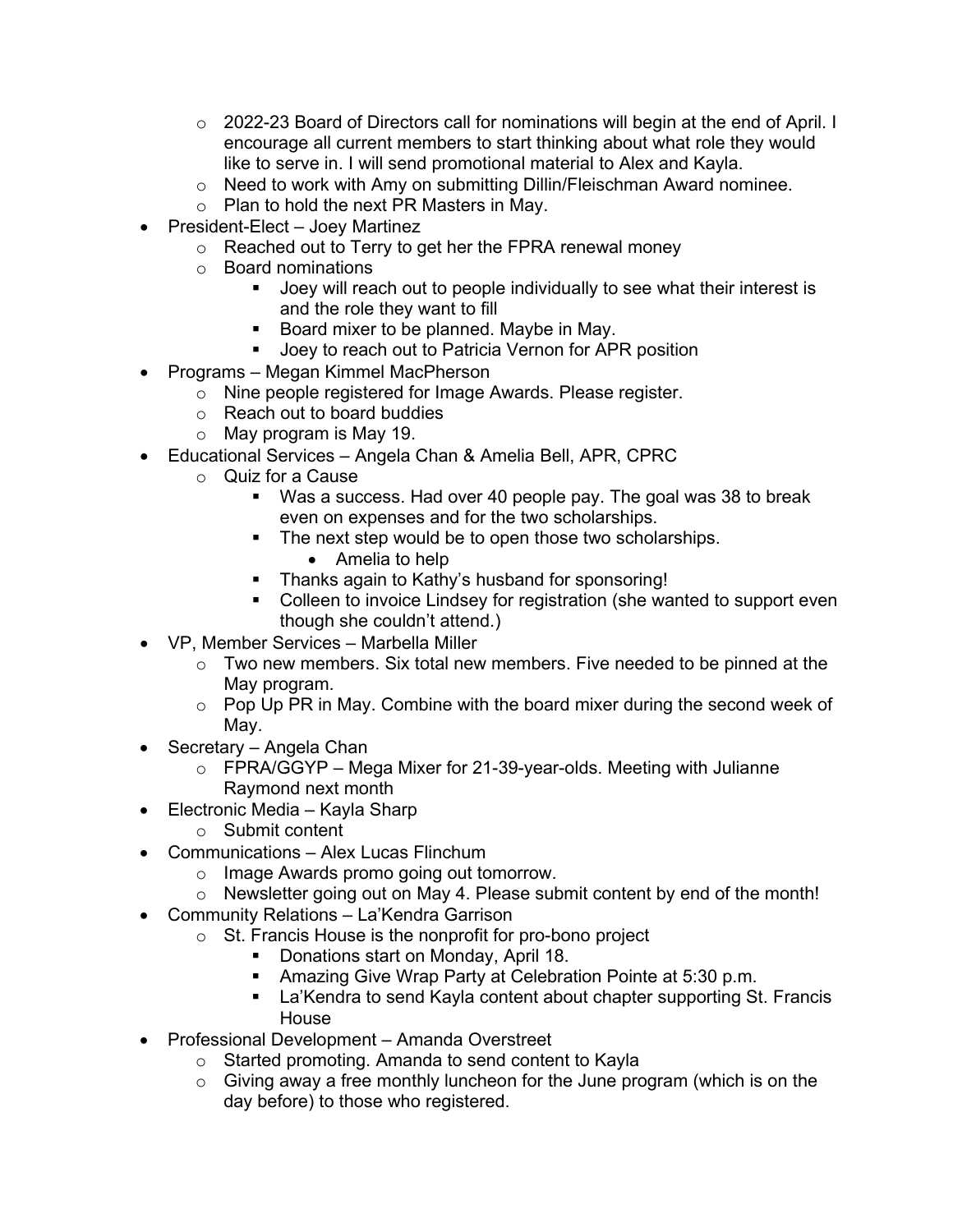- $\circ$  2022-23 Board of Directors call for nominations will begin at the end of April. I encourage all current members to start thinking about what role they would like to serve in. I will send promotional material to Alex and Kayla.
- o Need to work with Amy on submitting Dillin/Fleischman Award nominee.
- o Plan to hold the next PR Masters in May.
- President-Elect Joey Martinez
	- o Reached out to Terry to get her the FPRA renewal money
	- o Board nominations
		- Joey will reach out to people individually to see what their interest is and the role they want to fill
		- Board mixer to be planned. Maybe in May.
		- Joey to reach out to Patricia Vernon for APR position
- Programs Megan Kimmel MacPherson
	- o Nine people registered for Image Awards. Please register.
	- o Reach out to board buddies
	- o May program is May 19.
- Educational Services Angela Chan & Amelia Bell, APR, CPRC
	- o Quiz for a Cause
		- Was a success. Had over 40 people pay. The goal was 38 to break even on expenses and for the two scholarships.
		- The next step would be to open those two scholarships.
			- Amelia to help
		- Thanks again to Kathy's husband for sponsoring!
		- Colleen to invoice Lindsey for registration (she wanted to support even though she couldn't attend.)
- VP, Member Services Marbella Miller
	- o Two new members. Six total new members. Five needed to be pinned at the May program.
	- $\circ$  Pop Up PR in May. Combine with the board mixer during the second week of May.
- Secretary Angela Chan
	- $\circ$  FPRA/GGYP Mega Mixer for 21-39-year-olds. Meeting with Julianne Raymond next month
- Electronic Media Kayla Sharp
	- o Submit content
- Communications Alex Lucas Flinchum
	- o Image Awards promo going out tomorrow.
	- o Newsletter going out on May 4. Please submit content by end of the month!
- Community Relations La'Kendra Garrison
	- o St. Francis House is the nonprofit for pro-bono project
		- **Donations start on Monday, April 18.**
		- Amazing Give Wrap Party at Celebration Pointe at 5:30 p.m.
		- **EXA** La'Kendra to send Kayla content about chapter supporting St. Francis House
- Professional Development Amanda Overstreet
	- o Started promoting. Amanda to send content to Kayla
	- $\circ$  Giving away a free monthly luncheon for the June program (which is on the day before) to those who registered.